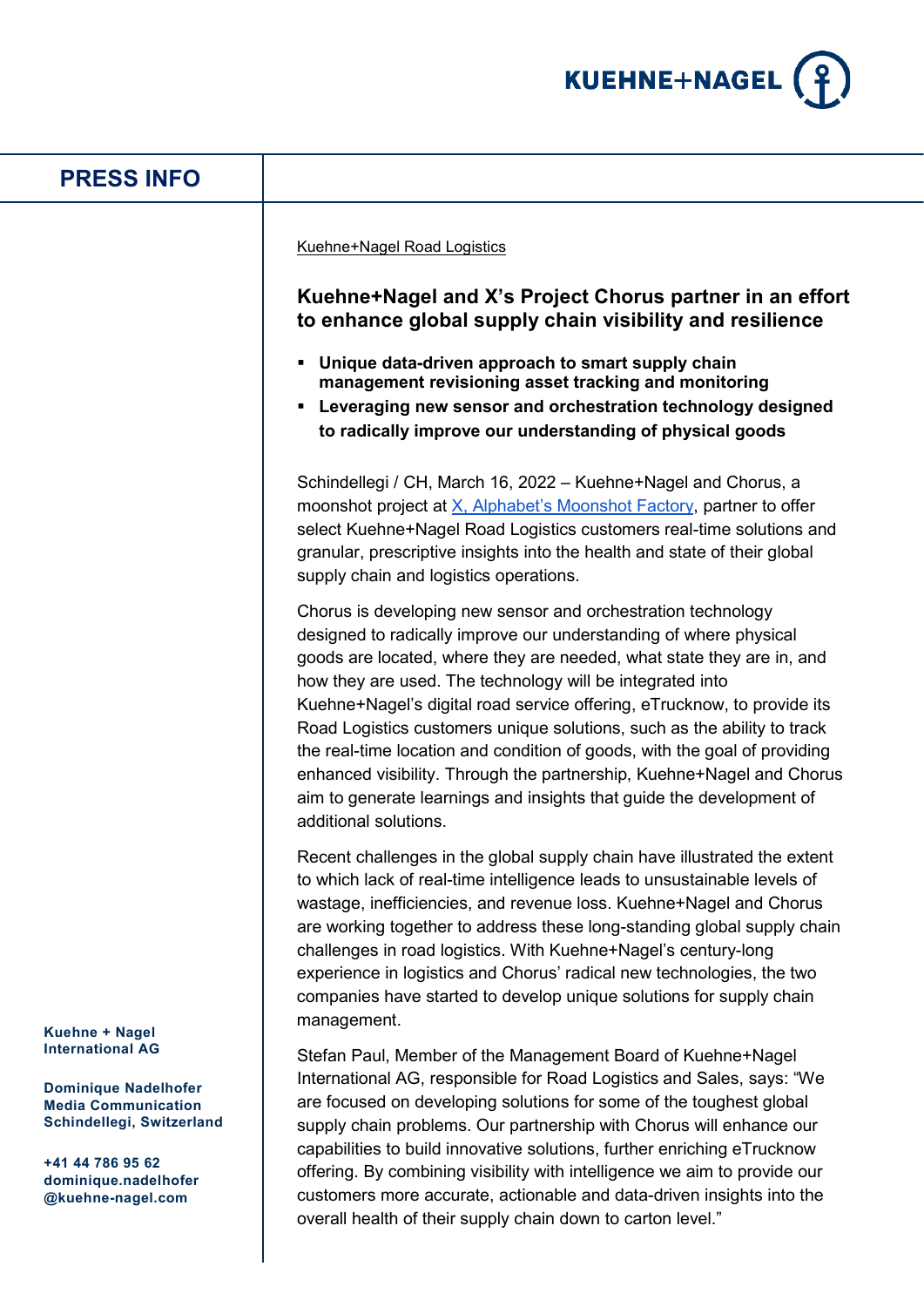

## **PRESS INFO**

Kuehne+Nagel Road Logistics

## **Kuehne+Nagel and X's Project Chorus partner in an effort to enhance global supply chain visibility and resilience**

- **Unique data-driven approach to smart supply chain management revisioning asset tracking and monitoring**
- **Leveraging new sensor and orchestration technology designed to radically improve our understanding of physical goods**

Schindellegi / CH, March 16, 2022 – Kuehne+Nagel and Chorus, a moonshot project at [X, Alphabet's Moonshot Factory,](https://x.company/) partner to offer select Kuehne+Nagel Road Logistics customers real-time solutions and granular, prescriptive insights into the health and state of their global supply chain and logistics operations.

Chorus is developing new sensor and orchestration technology designed to radically improve our understanding of where physical goods are located, where they are needed, what state they are in, and how they are used. The technology will be integrated into Kuehne+Nagel's digital road service offering, eTrucknow, to provide its Road Logistics customers unique solutions, such as the ability to track the real-time location and condition of goods, with the goal of providing enhanced visibility. Through the partnership, Kuehne+Nagel and Chorus aim to generate learnings and insights that guide the development of additional solutions.

Recent challenges in the global supply chain have illustrated the extent to which lack of real-time intelligence leads to unsustainable levels of wastage, inefficiencies, and revenue loss. Kuehne+Nagel and Chorus are working together to address these long-standing global supply chain challenges in road logistics. With Kuehne+Nagel's century-long experience in logistics and Chorus' radical new technologies, the two companies have started to develop unique solutions for supply chain management.

Stefan Paul, Member of the Management Board of Kuehne+Nagel International AG, responsible for Road Logistics and Sales, says: "We are focused on developing solutions for some of the toughest global supply chain problems. Our partnership with Chorus will enhance our capabilities to build innovative solutions, further enriching eTrucknow offering. By combining visibility with intelligence we aim to provide our customers more accurate, actionable and data-driven insights into the overall health of their supply chain down to carton level."

**Kuehne + Nagel International AG**

**Dominique Nadelhofer Media Communication Schindellegi, Switzerland**

**+41 44 786 95 62 dominique.nadelhofer @kuehne-nagel.com**